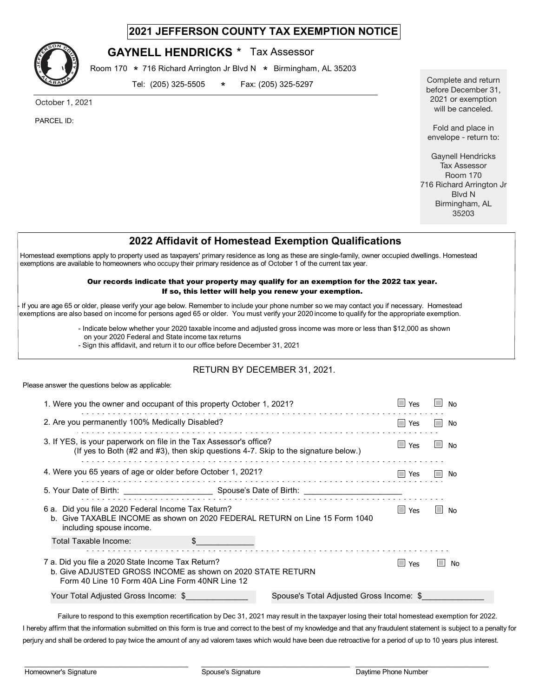## **2021 JEFFERSON COUNTY TAX EXEMPTION NOTICE**



## **GAYNELL HENDRICKS** \* Tax Assessor

Room 170  $*$  716 Richard Arrington Jr Blvd N  $*$  Birmingham, AL 35203

Tel: (205) 325-5505 \* Fax: (205) 325-5297 \*

October 1, 2021

PARCEL ID:

Complete and return before December 31, 2021 or exemption will be canceled.

Fold and place in envelope - return to:

Gaynell Hendricks Tax Assessor Room 170 716 Richard Arrington Jr Blvd N Birmingham, AL 35203

## **2022 Affidavit of Homestead Exemption Qualifications**

Homestead exemptions apply to property used as taxpayers' primary residence as long as these are single-family, owner occupied dwellings. Homestead exemptions are available to homeowners who occupy their primary residence as of October 1 of the current tax year.

#### Our records indicate that your property may qualify for an exemption for the 2022 tax year. If so, this letter will help you renew your exemption.

If you are age 65 or older, please verify your age below. Remember to include your phone number so we may contact you if necessary. Homestead exemptions are also based on income for persons aged 65 or older. You must verify your 20 income to qualify for the appropriate exemption. 20

- Indicate below whether your 2020 taxable income and adjusted gross income was more or less than \$12,000 as shown

- on your 2020 Federal and State income tax returns
- Sign this affidavit, and return it to our office before December 31, 2021

### RETURN BY DECEMBER 31, 2021.

Please answer the questions below as applicable:

| 1. Were you the owner and occupant of this property October 1, 2021?                                                                                                | $\Box$ Yes | l I<br>No                  |
|---------------------------------------------------------------------------------------------------------------------------------------------------------------------|------------|----------------------------|
| 2. Are you permanently 100% Medically Disabled?                                                                                                                     | $\Box$ Yes | <b>The State</b><br>No     |
| 3. If YES, is your paperwork on file in the Tax Assessor's office?<br>(If yes to Both (#2 and #3), then skip questions 4-7. Skip to the signature below.)           | $\Box$ Yes | <b>In the State</b><br>No. |
| 4. Were you 65 years of age or older before October 1, 2021?                                                                                                        | $\Box$ Yes | l I<br>No                  |
|                                                                                                                                                                     |            |                            |
| 6 a. Did you file a 2020 Federal Income Tax Return?<br>b. Give TAXABLE INCOME as shown on 2020 FEDERAL RETURN on Line 15 Form 1040<br>including spouse income.      | $\Box$ Yes | <b>The State</b><br>No     |
| Total Taxable Income:                                                                                                                                               |            |                            |
| 7 a. Did you file a 2020 State Income Tax Return?<br>b. Give ADJUSTED GROSS INCOME as shown on 2020 STATE RETURN<br>Form 40 Line 10 Form 40A Line Form 40NR Line 12 | $\Box$ Yes | No                         |
| Your Total Adjusted Gross Income: \$<br>Spouse's Total Adjusted Gross Income: \$                                                                                    |            |                            |

Failure to respond to this exemption recertification by Dec 31, 2021 may result in the taxpayer losing their total homestead exemption for 2022. I hereby affirm that the information submitted on this form is true and correct to the best of my knowledge and that any fraudulent statement is subject to a penalty for perjury and shall be ordered to pay twice the amount of any ad valorem taxes which would have been due retroactive for a period of up to 10 years plus interest.